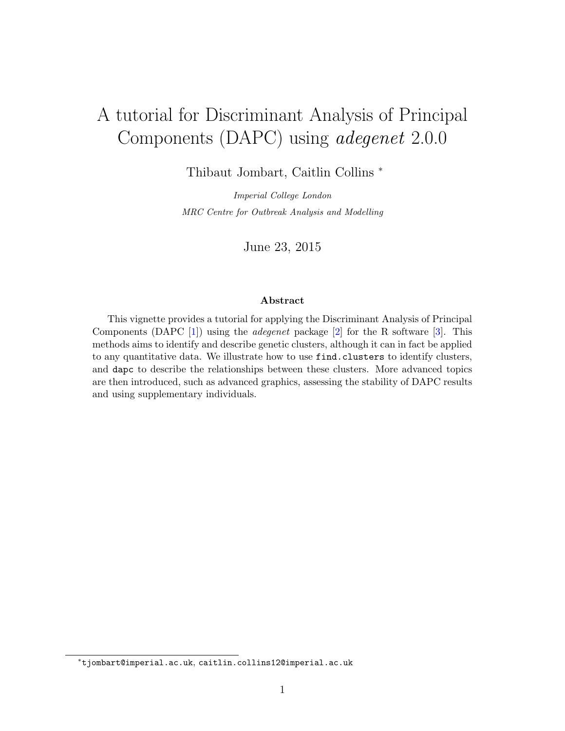# A tutorial for Discriminant Analysis of Principal Components (DAPC) using adegenet 2.0.0

Thibaut Jombart, Caitlin Collins <sup>∗</sup>

Imperial College London MRC Centre for Outbreak Analysis and Modelling

June 23, 2015

#### Abstract

This vignette provides a tutorial for applying the Discriminant Analysis of Principal Components (DAPC [\[1\]](#page-42-0)) using the *adegenet* package [\[2\]](#page-42-1) for the R software [\[3\]](#page-42-2). This methods aims to identify and describe genetic clusters, although it can in fact be applied to any quantitative data. We illustrate how to use find.clusters to identify clusters, and dapc to describe the relationships between these clusters. More advanced topics are then introduced, such as advanced graphics, assessing the stability of DAPC results and using supplementary individuals.

<sup>∗</sup>tjombart@imperial.ac.uk, caitlin.collins12@imperial.ac.uk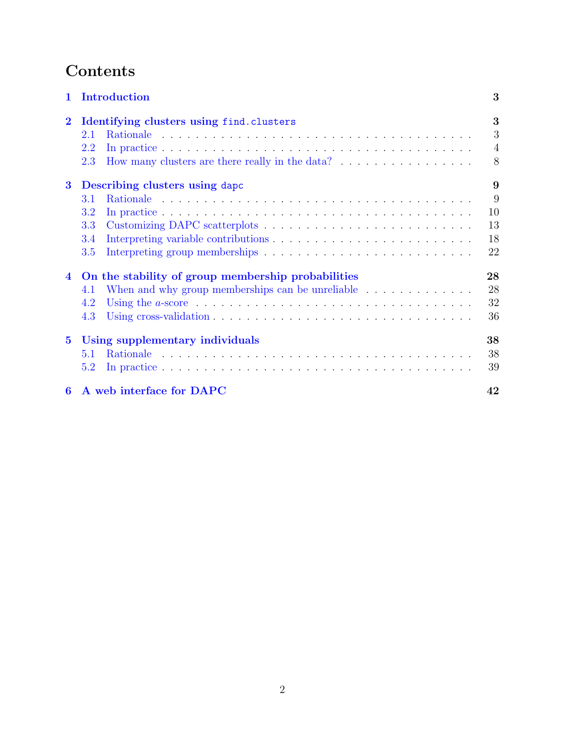# Contents

| Introduction<br>$\mathbf{1}$ |                                                                                                                   |                |  |  |  |  |  |  |
|------------------------------|-------------------------------------------------------------------------------------------------------------------|----------------|--|--|--|--|--|--|
| $\bf{2}$                     | Identifying clusters using find.clusters                                                                          |                |  |  |  |  |  |  |
|                              | 2.1                                                                                                               | 3              |  |  |  |  |  |  |
|                              | 2.2                                                                                                               | $\overline{4}$ |  |  |  |  |  |  |
|                              | 2.3                                                                                                               | 8              |  |  |  |  |  |  |
| $\bf{3}$                     | Describing clusters using dapc                                                                                    |                |  |  |  |  |  |  |
|                              | 3.1                                                                                                               | 9              |  |  |  |  |  |  |
|                              | 3.2                                                                                                               | 10             |  |  |  |  |  |  |
|                              | 3.3                                                                                                               | 13             |  |  |  |  |  |  |
|                              | 3.4                                                                                                               | 18             |  |  |  |  |  |  |
|                              | 3.5                                                                                                               | 22             |  |  |  |  |  |  |
| $\overline{4}$               | On the stability of group membership probabilities<br>28                                                          |                |  |  |  |  |  |  |
|                              | 4.1                                                                                                               | 28             |  |  |  |  |  |  |
|                              | Using the $a$ -score $\dots \dots \dots \dots \dots \dots \dots \dots \dots \dots \dots \dots \dots \dots$<br>4.2 | 32             |  |  |  |  |  |  |
|                              | 4.3                                                                                                               | 36             |  |  |  |  |  |  |
| $5^{\circ}$                  | Using supplementary individuals                                                                                   |                |  |  |  |  |  |  |
|                              | 5.1                                                                                                               | 38             |  |  |  |  |  |  |
|                              | 5.2                                                                                                               | 39             |  |  |  |  |  |  |
| 6                            | A web interface for DAPC                                                                                          | 42             |  |  |  |  |  |  |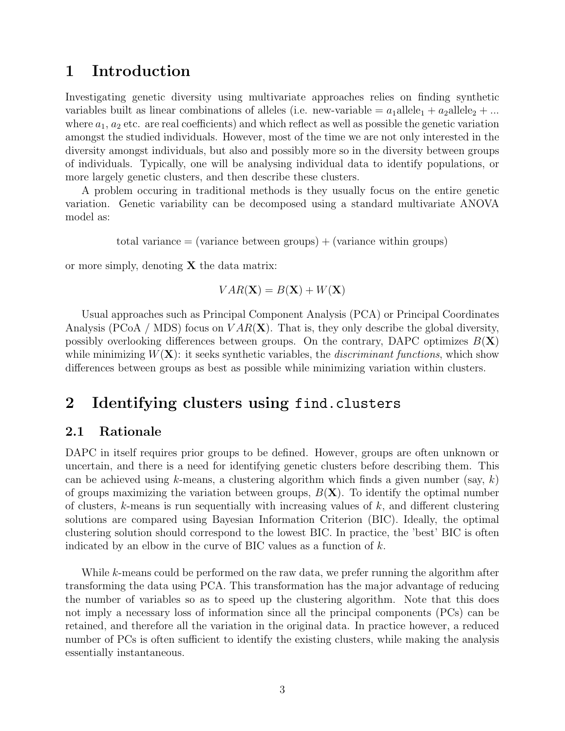### <span id="page-2-0"></span>1 Introduction

Investigating genetic diversity using multivariate approaches relies on finding synthetic variables built as linear combinations of alleles (i.e. new-variable  $= a_1$ allele<sub>1</sub> +  $a_2$ allele<sub>2</sub> + ... where  $a_1, a_2$  etc. are real coefficients) and which reflect as well as possible the genetic variation amongst the studied individuals. However, most of the time we are not only interested in the diversity amongst individuals, but also and possibly more so in the diversity between groups of individuals. Typically, one will be analysing individual data to identify populations, or more largely genetic clusters, and then describe these clusters.

A problem occuring in traditional methods is they usually focus on the entire genetic variation. Genetic variability can be decomposed using a standard multivariate ANOVA model as:

total variance  $=$  (variance between groups)  $+$  (variance within groups)

or more simply, denoting  $X$  the data matrix:

$$
VAR(\mathbf{X}) = B(\mathbf{X}) + W(\mathbf{X})
$$

Usual approaches such as Principal Component Analysis (PCA) or Principal Coordinates Analysis (PCoA / MDS) focus on  $VAR(X)$ . That is, they only describe the global diversity, possibly overlooking differences between groups. On the contrary, DAPC optimizes  $B(\mathbf{X})$ while minimizing  $W(X)$ : it seeks synthetic variables, the *discriminant functions*, which show differences between groups as best as possible while minimizing variation within clusters.

## <span id="page-2-1"></span>2 Identifying clusters using find.clusters

### <span id="page-2-2"></span>2.1 Rationale

DAPC in itself requires prior groups to be defined. However, groups are often unknown or uncertain, and there is a need for identifying genetic clusters before describing them. This can be achieved using k-means, a clustering algorithm which finds a given number (say, k) of groups maximizing the variation between groups,  $B(X)$ . To identify the optimal number of clusters,  $k$ -means is run sequentially with increasing values of  $k$ , and different clustering solutions are compared using Bayesian Information Criterion (BIC). Ideally, the optimal clustering solution should correspond to the lowest BIC. In practice, the 'best' BIC is often indicated by an elbow in the curve of BIC values as a function of  $k$ .

While k-means could be performed on the raw data, we prefer running the algorithm after transforming the data using PCA. This transformation has the major advantage of reducing the number of variables so as to speed up the clustering algorithm. Note that this does not imply a necessary loss of information since all the principal components (PCs) can be retained, and therefore all the variation in the original data. In practice however, a reduced number of PCs is often sufficient to identify the existing clusters, while making the analysis essentially instantaneous.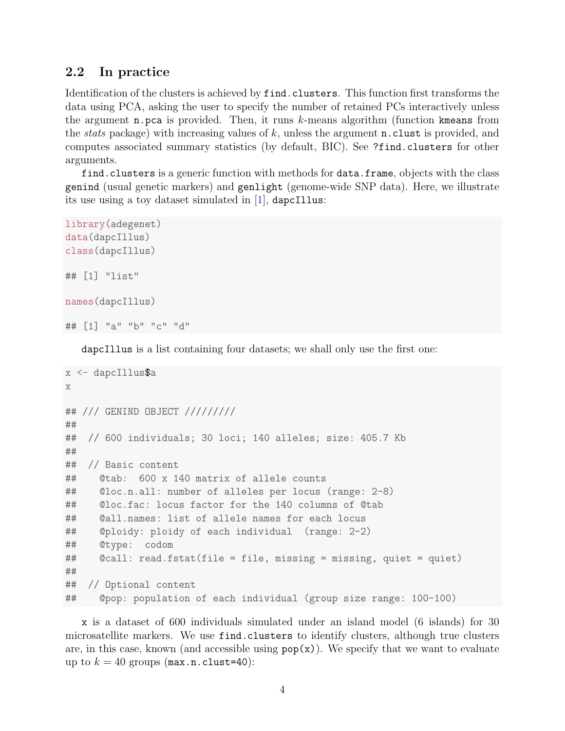### <span id="page-3-0"></span>2.2 In practice

Identification of the clusters is achieved by find.clusters. This function first transforms the data using PCA, asking the user to specify the number of retained PCs interactively unless the argument  $n.pca$  is provided. Then, it runs  $k$ -means algorithm (function kmeans from the *stats* package) with increasing values of k, unless the argument **n**.clust is provided, and computes associated summary statistics (by default, BIC). See ?find.clusters for other arguments.

find.clusters is a generic function with methods for data.frame, objects with the class genind (usual genetic markers) and genlight (genome-wide SNP data). Here, we illustrate its use using a toy dataset simulated in [\[1\]](#page-42-0), dapcIllus:

```
library(adegenet)
data(dapcIllus)
class(dapcIllus)
## [1] "list"
names(dapcIllus)
## [1] "a" "b" "c" "d"
```
dapcIllus is a list containing four datasets; we shall only use the first one:

```
x <- dapcIllus$a
x
## /// GENIND OBJECT /////////
##
## // 600 individuals; 30 loci; 140 alleles; size: 405.7 Kb
##
## // Basic content
## @tab: 600 x 140 matrix of allele counts
## @loc.n.all: number of alleles per locus (range: 2-8)
## @loc.fac: locus factor for the 140 columns of @tab
## @all.names: list of allele names for each locus
## @ploidy: ploidy of each individual (range: 2-2)
## @type: codom
## @call: read.fstat(file = file, missing = missing, quiet = quiet)
##
## // Optional content
## @pop: population of each individual (group size range: 100-100)
```
x is a dataset of 600 individuals simulated under an island model (6 islands) for 30 microsatellite markers. We use find.clusters to identify clusters, although true clusters are, in this case, known (and accessible using  $\text{pop}(x)$ ). We specify that we want to evaluate up to  $k = 40$  groups (max.n.clust=40):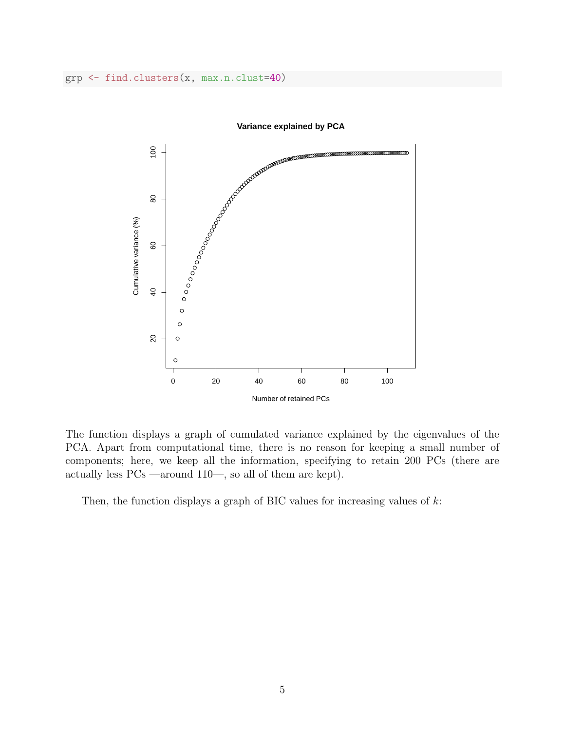grp <- find.clusters(x, max.n.clust=40)



**Variance explained by PCA**

The function displays a graph of cumulated variance explained by the eigenvalues of the PCA. Apart from computational time, there is no reason for keeping a small number of components; here, we keep all the information, specifying to retain 200 PCs (there are actually less PCs —around 110—, so all of them are kept).

Then, the function displays a graph of BIC values for increasing values of  $k$ :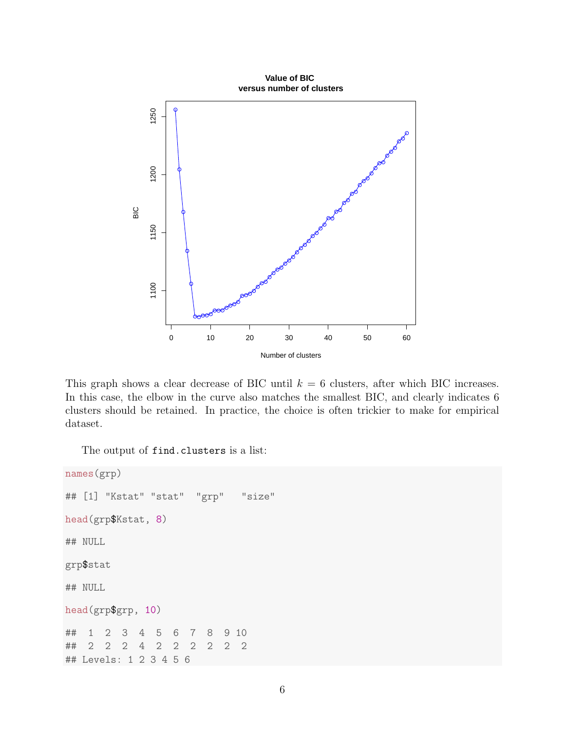

This graph shows a clear decrease of BIC until  $k = 6$  clusters, after which BIC increases. In this case, the elbow in the curve also matches the smallest BIC, and clearly indicates 6 clusters should be retained. In practice, the choice is often trickier to make for empirical dataset.

The output of find.clusters is a list:

```
names(grp)
## [1] "Kstat" "stat" "grp" "size"
head(grp$Kstat, 8)
## NULL
grp$stat
## NULL
head(grp$grp, 10)
## 1 2 3 4 5 6 7 8 9 10
## 2 2 2 4 2 2 2 2 2 2
## Levels: 1 2 3 4 5 6
```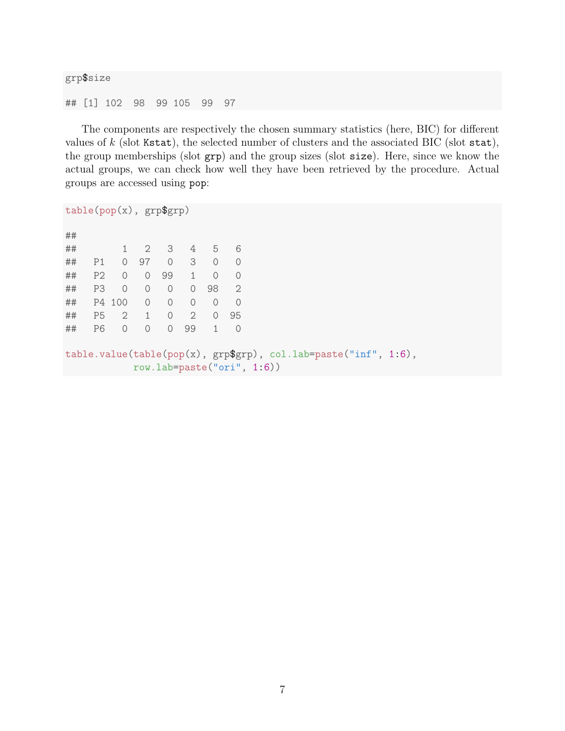```
grp$size
## [1] 102 98 99 105 99 97
```
The components are respectively the chosen summary statistics (here, BIC) for different values of  $k$  (slot Kstat), the selected number of clusters and the associated BIC (slot stat), the group memberships (slot grp) and the group sizes (slot size). Here, since we know the actual groups, we can check how well they have been retrieved by the procedure. Actual groups are accessed using pop:

```
table(pop(x), grp$grp)
##
## 1 2 3 4 5 6
## P1 0 97 0 3 0 0
## P2 0 0 99 1 0 0
## P3 0 0 0 0 98 2
## P4 100 0 0 0 0 0
## P5 2 1 0 2 0 95
## P6 0 0 0 99 1 0
table.value(table(pop(x), grp$grp), col.lab=paste("inf", 1:6),
         row.lab=paste("ori", 1:6))
```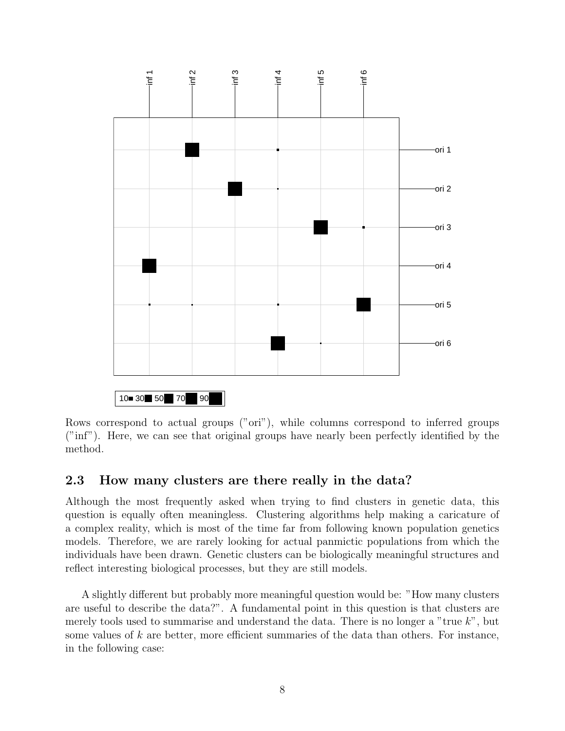

Rows correspond to actual groups ("ori"), while columns correspond to inferred groups ("inf"). Here, we can see that original groups have nearly been perfectly identified by the method.

### <span id="page-7-0"></span>2.3 How many clusters are there really in the data?

Although the most frequently asked when trying to find clusters in genetic data, this question is equally often meaningless. Clustering algorithms help making a caricature of a complex reality, which is most of the time far from following known population genetics models. Therefore, we are rarely looking for actual panmictic populations from which the individuals have been drawn. Genetic clusters can be biologically meaningful structures and reflect interesting biological processes, but they are still models.

A slightly different but probably more meaningful question would be: "How many clusters are useful to describe the data?". A fundamental point in this question is that clusters are merely tools used to summarise and understand the data. There is no longer a "true  $k$ ", but some values of  $k$  are better, more efficient summaries of the data than others. For instance, in the following case: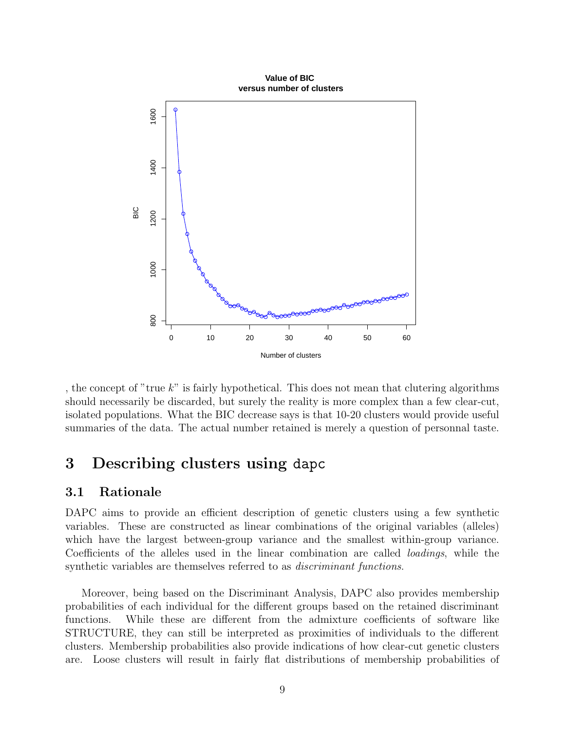

, the concept of "true  $k$ " is fairly hypothetical. This does not mean that clutering algorithms should necessarily be discarded, but surely the reality is more complex than a few clear-cut, isolated populations. What the BIC decrease says is that 10-20 clusters would provide useful summaries of the data. The actual number retained is merely a question of personnal taste.

## <span id="page-8-0"></span>3 Describing clusters using dapc

## <span id="page-8-1"></span>3.1 Rationale

DAPC aims to provide an efficient description of genetic clusters using a few synthetic variables. These are constructed as linear combinations of the original variables (alleles) which have the largest between-group variance and the smallest within-group variance. Coefficients of the alleles used in the linear combination are called loadings, while the synthetic variables are themselves referred to as *discriminant functions*.

Moreover, being based on the Discriminant Analysis, DAPC also provides membership probabilities of each individual for the different groups based on the retained discriminant functions. While these are different from the admixture coefficients of software like STRUCTURE, they can still be interpreted as proximities of individuals to the different clusters. Membership probabilities also provide indications of how clear-cut genetic clusters are. Loose clusters will result in fairly flat distributions of membership probabilities of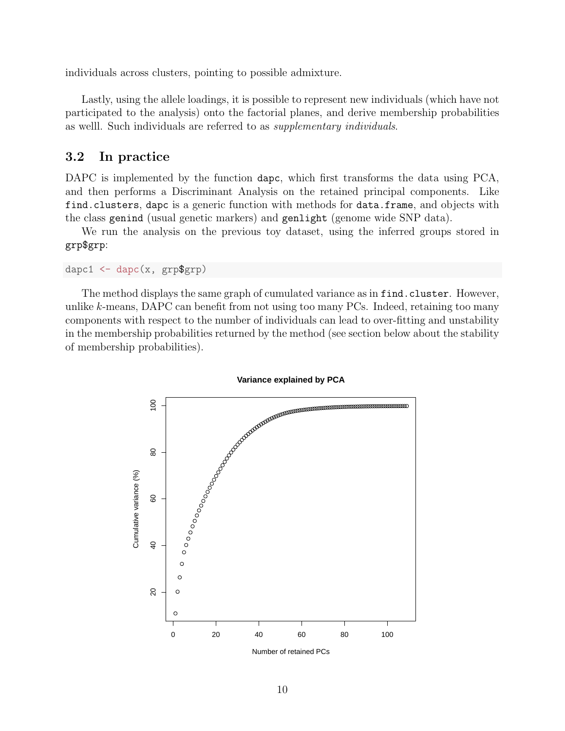individuals across clusters, pointing to possible admixture.

Lastly, using the allele loadings, it is possible to represent new individuals (which have not participated to the analysis) onto the factorial planes, and derive membership probabilities as welll. Such individuals are referred to as supplementary individuals.

### <span id="page-9-0"></span>3.2 In practice

DAPC is implemented by the function dapc, which first transforms the data using PCA, and then performs a Discriminant Analysis on the retained principal components. Like find.clusters, dapc is a generic function with methods for data.frame, and objects with the class genind (usual genetic markers) and genlight (genome wide SNP data).

We run the analysis on the previous toy dataset, using the inferred groups stored in grp\$grp:

```
dapc1 \leftarrow dapc(x, \text{grp$grp})
```
The method displays the same graph of cumulated variance as in find.cluster. However, unlike  $k$ -means, DAPC can benefit from not using too many PCs. Indeed, retaining too many components with respect to the number of individuals can lead to over-fitting and unstability in the membership probabilities returned by the method (see section below about the stability of membership probabilities).



**Variance explained by PCA**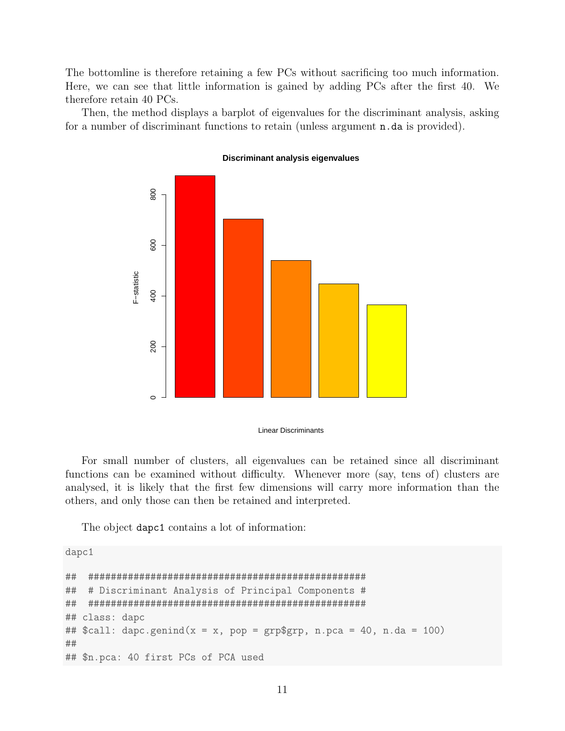The bottomline is therefore retaining a few PCs without sacrificing too much information. Here, we can see that little information is gained by adding PCs after the first 40. We therefore retain 40 PCs.

Then, the method displays a barplot of eigenvalues for the discriminant analysis, asking for a number of discriminant functions to retain (unless argument n.da is provided).



**Discriminant analysis eigenvalues**

Linear Discriminants

For small number of clusters, all eigenvalues can be retained since all discriminant functions can be examined without difficulty. Whenever more (say, tens of) clusters are analysed, it is likely that the first few dimensions will carry more information than the others, and only those can then be retained and interpreted.

The object dapc1 contains a lot of information:

dapc1

```
## #################################################
## # Discriminant Analysis of Principal Components #
## #################################################
## class: dapc
## $call: dapc.genind(x = x, pop = grp$grp, n.pca = 40, n.da = 100)
##
## $n.pca: 40 first PCs of PCA used
```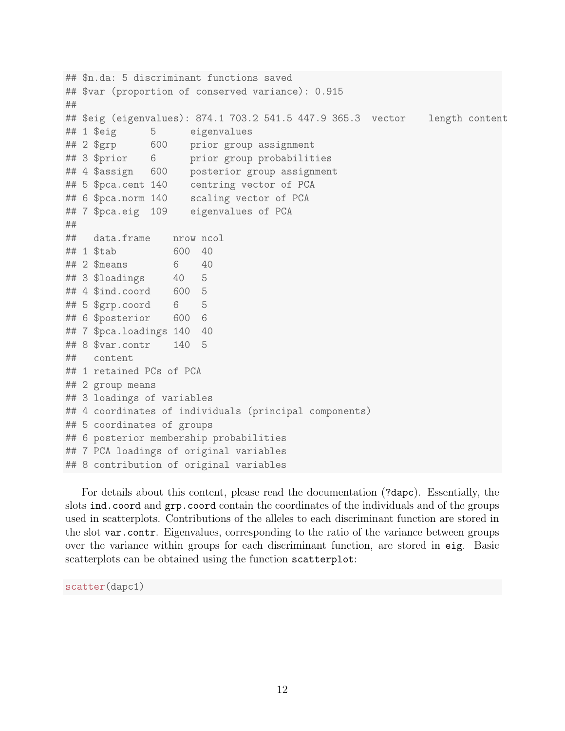```
## $n.da: 5 discriminant functions saved
## $var (proportion of conserved variance): 0.915
##
## $eig (eigenvalues): 874.1 703.2 541.5 447.9 365.3 vector length content
## 1 $eig 5 eigenvalues
## 2 $grp 600 prior group assignment
## 3 $prior 6 prior group probabilities
## 4 $assign 600 posterior group assignment
## 5 $pca.cent 140 centring vector of PCA
## 6 $pca.norm 140 scaling vector of PCA
## 7 $pca.eig 109 eigenvalues of PCA
##
## data.frame nrow ncol
## 1 $tab 600 40
## 2 $means 6 40
## 3 $loadings 40 5
## 4 $ind.coord 600 5
## 5 $grp.coord 6 5
## 6 $posterior 600 6
## 7 $pca.loadings 140 40
## 8 $var.contr 140 5
## content
## 1 retained PCs of PCA
## 2 group means
## 3 loadings of variables
## 4 coordinates of individuals (principal components)
## 5 coordinates of groups
## 6 posterior membership probabilities
## 7 PCA loadings of original variables
## 8 contribution of original variables
```
For details about this content, please read the documentation (?dapc). Essentially, the slots ind.coord and grp.coord contain the coordinates of the individuals and of the groups used in scatterplots. Contributions of the alleles to each discriminant function are stored in the slot var.contr. Eigenvalues, corresponding to the ratio of the variance between groups over the variance within groups for each discriminant function, are stored in eig. Basic scatterplots can be obtained using the function scatterplot:

scatter(dapc1)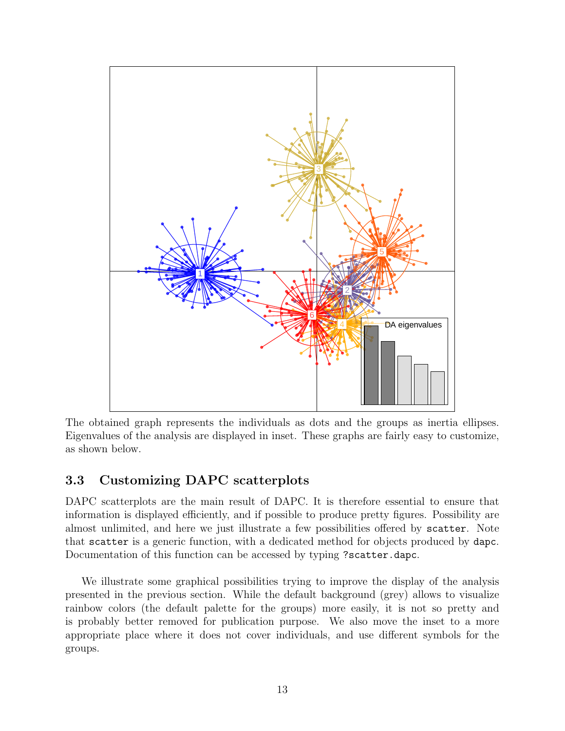

The obtained graph represents the individuals as dots and the groups as inertia ellipses. Eigenvalues of the analysis are displayed in inset. These graphs are fairly easy to customize, as shown below.

## <span id="page-12-0"></span>3.3 Customizing DAPC scatterplots

DAPC scatterplots are the main result of DAPC. It is therefore essential to ensure that information is displayed efficiently, and if possible to produce pretty figures. Possibility are almost unlimited, and here we just illustrate a few possibilities offered by scatter. Note that scatter is a generic function, with a dedicated method for objects produced by dapc. Documentation of this function can be accessed by typing ?scatter.dapc.

We illustrate some graphical possibilities trying to improve the display of the analysis presented in the previous section. While the default background (grey) allows to visualize rainbow colors (the default palette for the groups) more easily, it is not so pretty and is probably better removed for publication purpose. We also move the inset to a more appropriate place where it does not cover individuals, and use different symbols for the groups.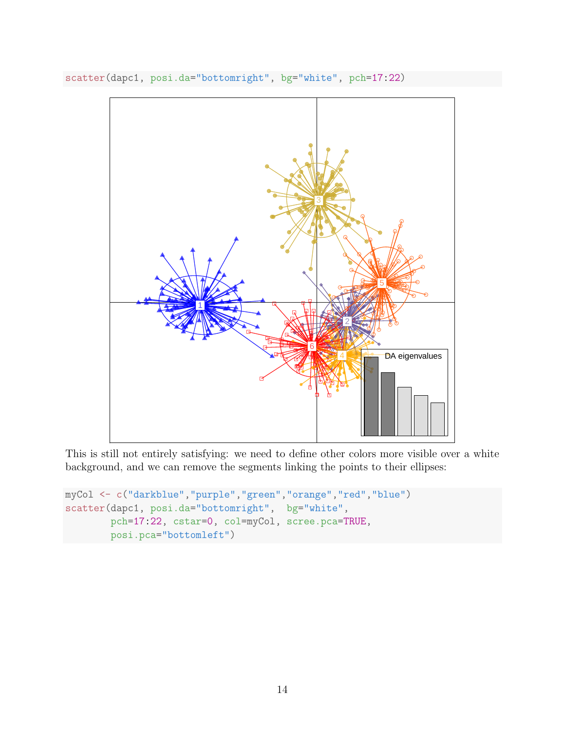

scatter(dapc1, posi.da="bottomright", bg="white", pch=17:22)

This is still not entirely satisfying: we need to define other colors more visible over a white background, and we can remove the segments linking the points to their ellipses:

```
myCol <- c("darkblue","purple","green","orange","red","blue")
scatter(dapc1, posi.da="bottomright", bg="white",
        pch=17:22, cstar=0, col=myCol, scree.pca=TRUE,
       posi.pca="bottomleft")
```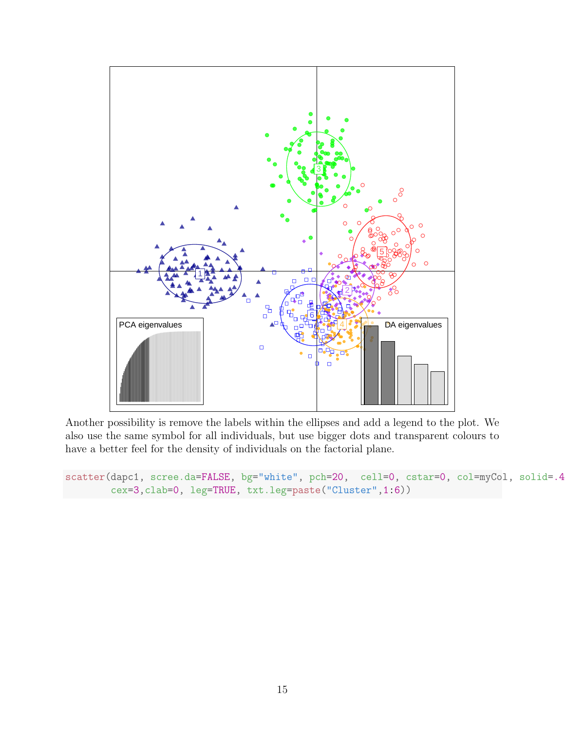

Another possibility is remove the labels within the ellipses and add a legend to the plot. We also use the same symbol for all individuals, but use bigger dots and transparent colours to have a better feel for the density of individuals on the factorial plane.

```
scatter(dapc1, scree.da=FALSE, bg="white", pch=20, cell=0, cstar=0, col=myCol, solid=.4
        cex=3,clab=0, leg=TRUE, txt.leg=paste("Cluster",1:6))
```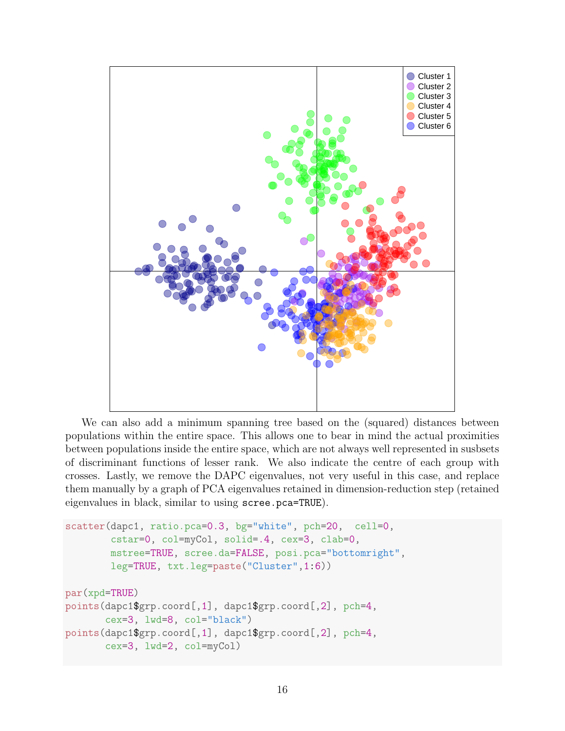

We can also add a minimum spanning tree based on the (squared) distances between populations within the entire space. This allows one to bear in mind the actual proximities between populations inside the entire space, which are not always well represented in susbsets of discriminant functions of lesser rank. We also indicate the centre of each group with crosses. Lastly, we remove the DAPC eigenvalues, not very useful in this case, and replace them manually by a graph of PCA eigenvalues retained in dimension-reduction step (retained eigenvalues in black, similar to using scree.pca=TRUE).

```
scatter(dapc1, ratio.pca=0.3, bg="white", pch=20, cell=0,
        cstar=0, col=myCol, solid=.4, cex=3, clab=0,
        mstree=TRUE, scree.da=FALSE, posi.pca="bottomright",
        leg=TRUE, txt.leg=paste("Cluster",1:6))
par(xpd=TRUE)
points(dapc1$grp.coord[,1], dapc1$grp.coord[,2], pch=4,
       cex=3, lwd=8, col="black")
points(dapc1$grp.coord[,1], dapc1$grp.coord[,2], pch=4,
       cex=3, lwd=2, col=myCol)
```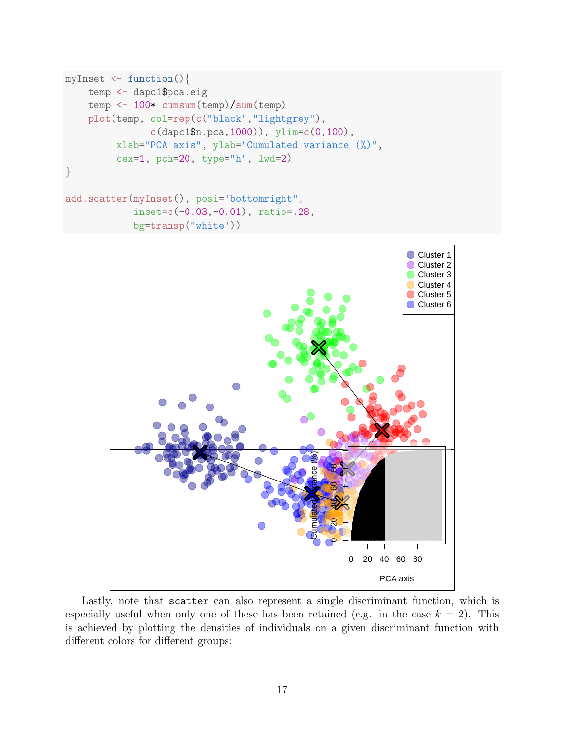```
myInset \leq function(){
    temp <- dapc1$pca.eig
    temp <- 100* cumsum(temp)/sum(temp)
    plot(temp, col=rep(c("black","lightgrey"),
               c(dapc1$n.pca,1000)), ylim=c(0,100),
         xlab="PCA axis", ylab="Cumulated variance (%)",
         cex=1, pch=20, type="h", lwd=2)
}
add.scatter(myInset(), posi="bottomright",
            inset=c(-0.03,-0.01), ratio=.28,
            bg=transp("white"))
```


Lastly, note that scatter can also represent a single discriminant function, which is especially useful when only one of these has been retained (e.g. in the case  $k = 2$ ). This is achieved by plotting the densities of individuals on a given discriminant function with different colors for different groups: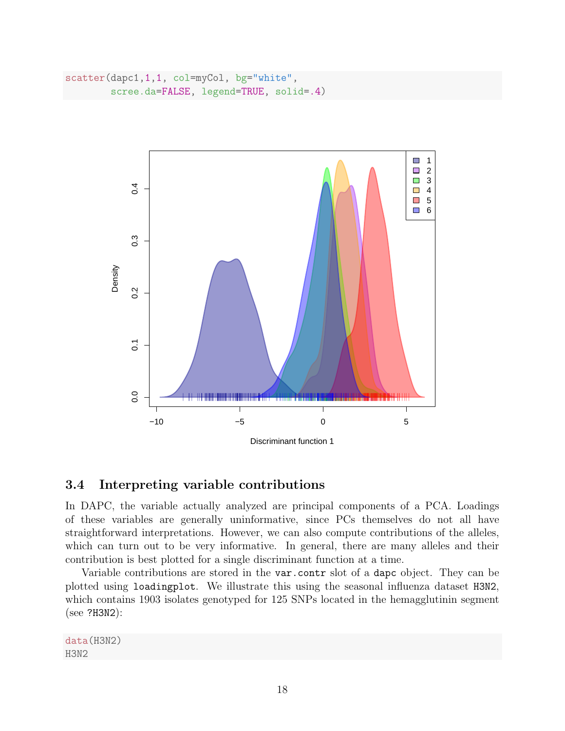```
scatter(dapc1,1,1, col=myCol, bg="white",
        scree.da=FALSE, legend=TRUE, solid=.4)
```


### <span id="page-17-0"></span>3.4 Interpreting variable contributions

In DAPC, the variable actually analyzed are principal components of a PCA. Loadings of these variables are generally uninformative, since PCs themselves do not all have straightforward interpretations. However, we can also compute contributions of the alleles, which can turn out to be very informative. In general, there are many alleles and their contribution is best plotted for a single discriminant function at a time.

Variable contributions are stored in the var.contr slot of a dapc object. They can be plotted using loadingplot. We illustrate this using the seasonal influenza dataset H3N2, which contains 1903 isolates genotyped for 125 SNPs located in the hemagglutinin segment (see ?H3N2):

data(H3N2) H3N2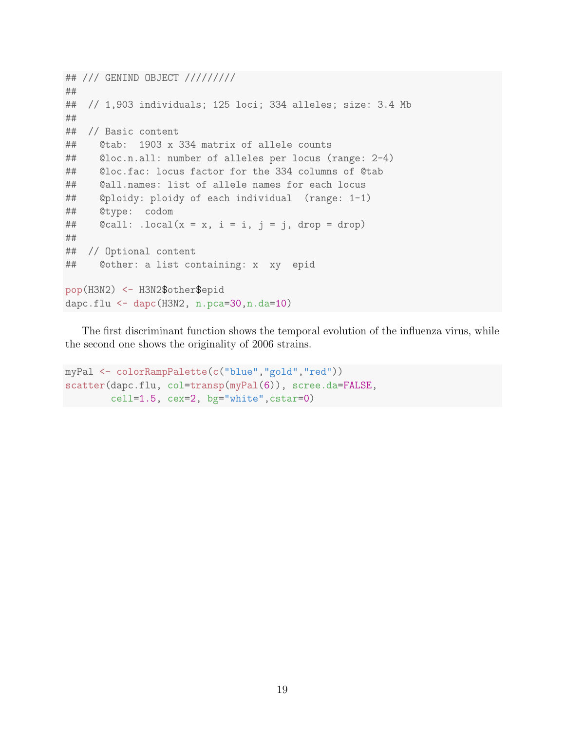```
## /// GENIND OBJECT /////////
##
## // 1,903 individuals; 125 loci; 334 alleles; size: 3.4 Mb
##
## // Basic content
## @tab: 1903 x 334 matrix of allele counts
## @loc.n.all: number of alleles per locus (range: 2-4)
## @loc.fac: locus factor for the 334 columns of @tab
## @all.names: list of allele names for each locus
## @ploidy: ploidy of each individual (range: 1-1)
## @type: codom
## \& Ccall: \text{local}(x = x, i = i, j = j, \text{drop})##
## // Optional content
## @other: a list containing: x xy epid
pop(H3N2) <- H3N2$other$epid
dapc.flu <- dapc(H3N2, n.pca=30,n.da=10)
```
The first discriminant function shows the temporal evolution of the influenza virus, while the second one shows the originality of 2006 strains.

```
myPal <- colorRampPalette(c("blue","gold","red"))
scatter(dapc.flu, col=transp(myPal(6)), scree.da=FALSE,
        cell=1.5, cex=2, bg="white",cstar=0)
```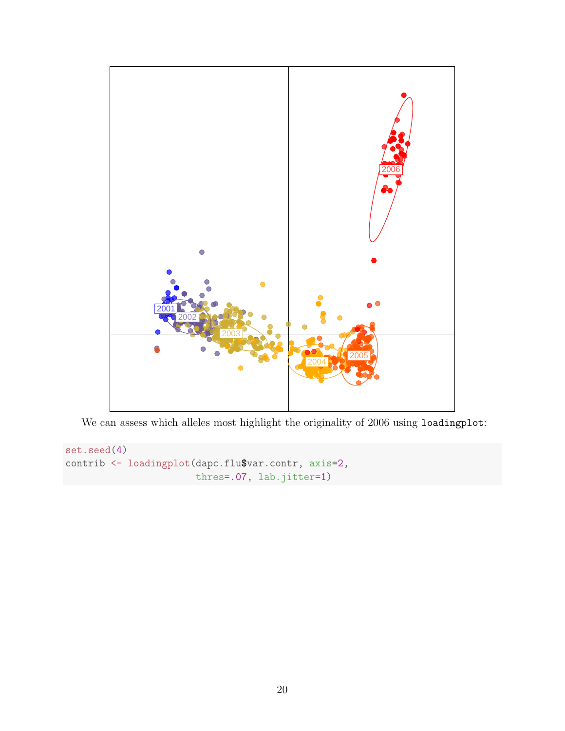

We can assess which alleles most highlight the originality of 2006 using loadingplot:

```
set.seed(4)
contrib <- loadingplot(dapc.flu$var.contr, axis=2,
                       thres=.07, lab.jitter=1)
```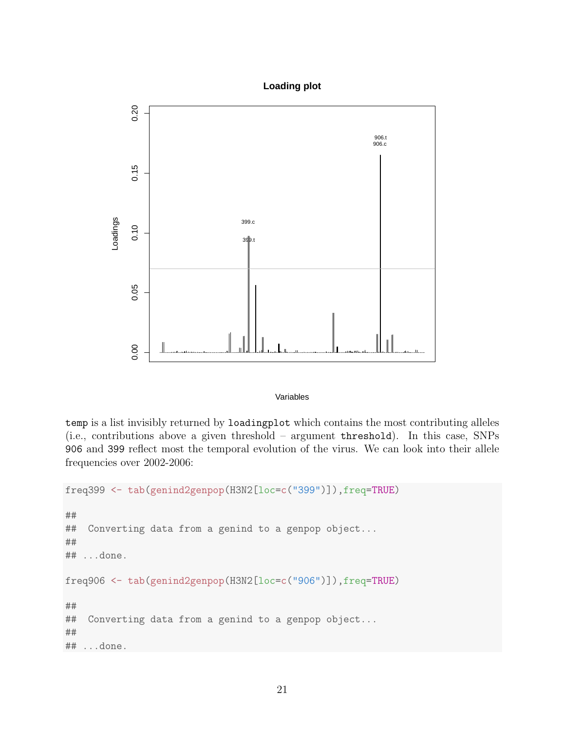



#### Variables

temp is a list invisibly returned by loadingplot which contains the most contributing alleles (i.e., contributions above a given threshold – argument threshold). In this case, SNPs 906 and 399 reflect most the temporal evolution of the virus. We can look into their allele frequencies over 2002-2006:

```
freq399 <- tab(genind2genpop(H3N2[loc=c("399")]),freq=TRUE)
```
## ## Converting data from a genind to a genpop object... ## ## ...done. freq906 <- tab(genind2genpop(H3N2[loc=c("906")]),freq=TRUE) ## ## Converting data from a genind to a genpop object... ## ## ...done.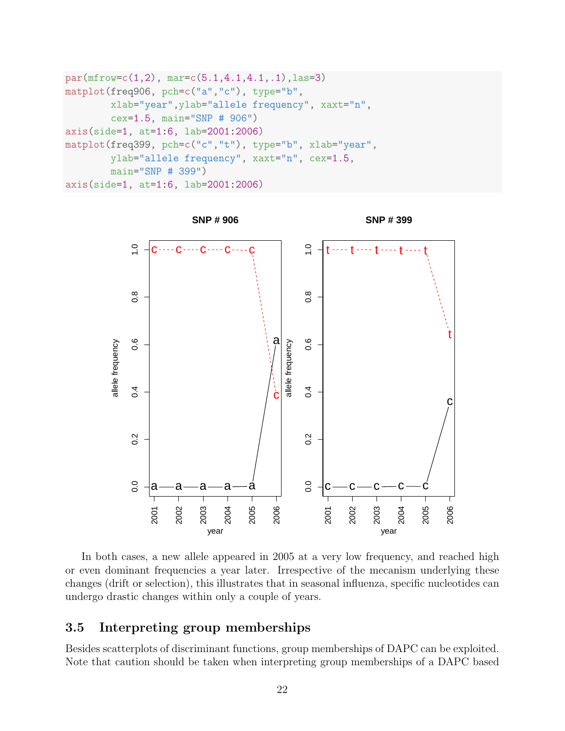```
par(mfrow=c(1,2), mar=c(5.1,4.1,4.1,.1), las=3)matplot(freq906, pch=c("a","c"), type="b",
        xlab="year",ylab="allele frequency", xaxt="n",
        cex=1.5, main="SNP # 906")
axis(side=1, at=1:6, lab=2001:2006)
matplot(freq399, pch=c("c","t"), type="b", xlab="year",
        ylab="allele frequency", xaxt="n", cex=1.5,
        main="SNP # 399")
axis(side=1, at=1:6, lab=2001:2006)
```


In both cases, a new allele appeared in 2005 at a very low frequency, and reached high or even dominant frequencies a year later. Irrespective of the mecanism underlying these changes (drift or selection), this illustrates that in seasonal influenza, specific nucleotides can undergo drastic changes within only a couple of years.

### <span id="page-21-0"></span>3.5 Interpreting group memberships

Besides scatterplots of discriminant functions, group memberships of DAPC can be exploited. Note that caution should be taken when interpreting group memberships of a DAPC based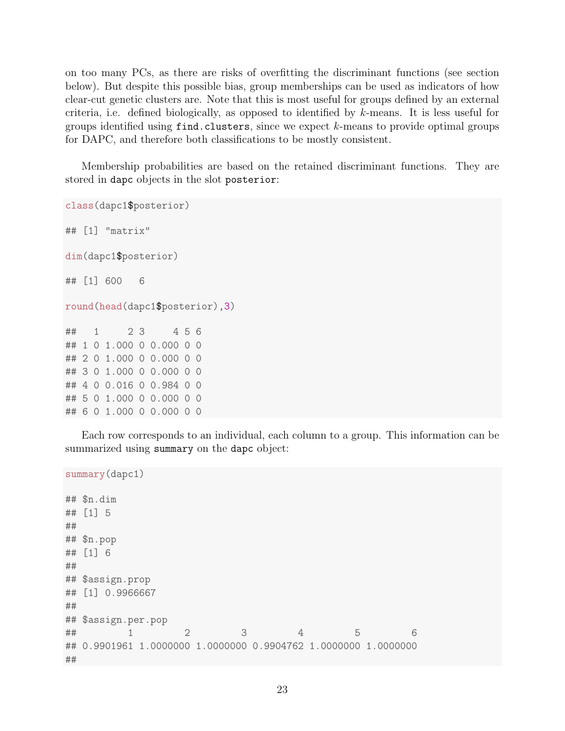on too many PCs, as there are risks of overfitting the discriminant functions (see section below). But despite this possible bias, group memberships can be used as indicators of how clear-cut genetic clusters are. Note that this is most useful for groups defined by an external criteria, i.e. defined biologically, as opposed to identified by  $k$ -means. It is less useful for groups identified using  $find.class$ , since we expect  $k$ -means to provide optimal groups for DAPC, and therefore both classifications to be mostly consistent.

Membership probabilities are based on the retained discriminant functions. They are stored in dapc objects in the slot posterior:

```
class(dapc1$posterior)
## [1] "matrix"
dim(dapc1$posterior)
## [1] 600 6
round(head(dapc1$posterior),3)
## 1 2 3 4 5 6
## 1 0 1.000 0 0.000 0 0
## 2 0 1.000 0 0.000 0 0
## 3 0 1.000 0 0.000 0 0
## 4 0 0.016 0 0.984 0 0
## 5 0 1.000 0 0.000 0 0
## 6 0 1.000 0 0.000 0 0
```
Each row corresponds to an individual, each column to a group. This information can be summarized using summary on the dapc object:

```
summary(dapc1)
## $n.dim
## [1] 5
##
## $n.pop
## [1] 6
##
## $assign.prop
## [1] 0.9966667
##
## $assign.per.pop
## 1 2 3 4 5 6
## 0.9901961 1.0000000 1.0000000 0.9904762 1.0000000 1.0000000
##
```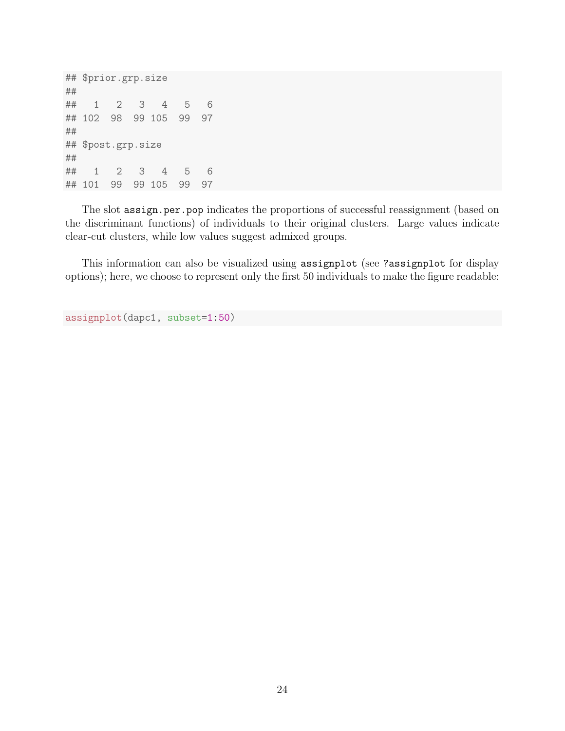## \$prior.grp.size ## ## 1 2 3 4 5 6 ## 102 98 99 105 99 97 ## ## \$post.grp.size ## ## 1 2 3 4 5 6 ## 101 99 99 105 99 97

The slot assign.per.pop indicates the proportions of successful reassignment (based on the discriminant functions) of individuals to their original clusters. Large values indicate clear-cut clusters, while low values suggest admixed groups.

This information can also be visualized using assignplot (see ?assignplot for display options); here, we choose to represent only the first 50 individuals to make the figure readable:

```
assignplot(dapc1, subset=1:50)
```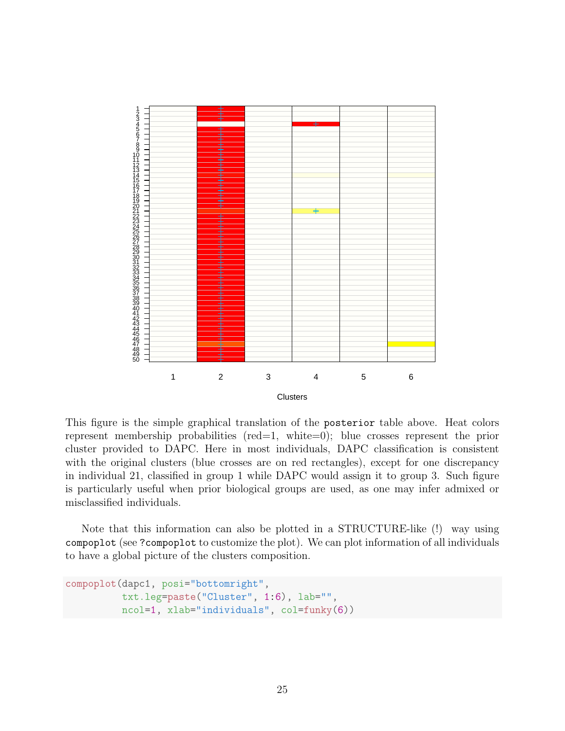

This figure is the simple graphical translation of the posterior table above. Heat colors represent membership probabilities (red=1, white=0); blue crosses represent the prior cluster provided to DAPC. Here in most individuals, DAPC classification is consistent with the original clusters (blue crosses are on red rectangles), except for one discrepancy in individual 21, classified in group 1 while DAPC would assign it to group 3. Such figure is particularly useful when prior biological groups are used, as one may infer admixed or misclassified individuals.

Note that this information can also be plotted in a STRUCTURE-like (!) way using compoplot (see ?compoplot to customize the plot). We can plot information of all individuals to have a global picture of the clusters composition.

```
compoplot(dapc1, posi="bottomright",
          txt.leg=paste("Cluster", 1:6), lab="",
          ncol=1, xlab="individuals", col=funky(6))
```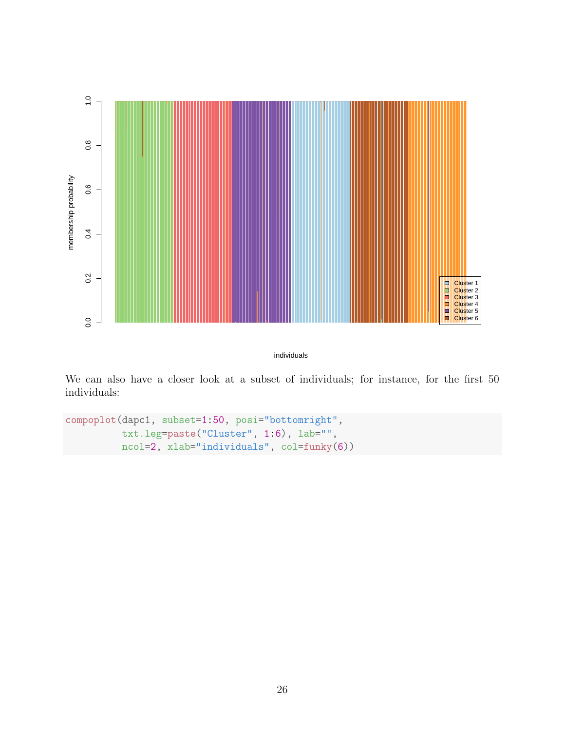

individuals

We can also have a closer look at a subset of individuals; for instance, for the first 50 individuals:

```
compoplot(dapc1, subset=1:50, posi="bottomright",
          txt.leg=paste("Cluster", 1:6), lab="",
         ncol=2, xlab="individuals", col=funky(6))
```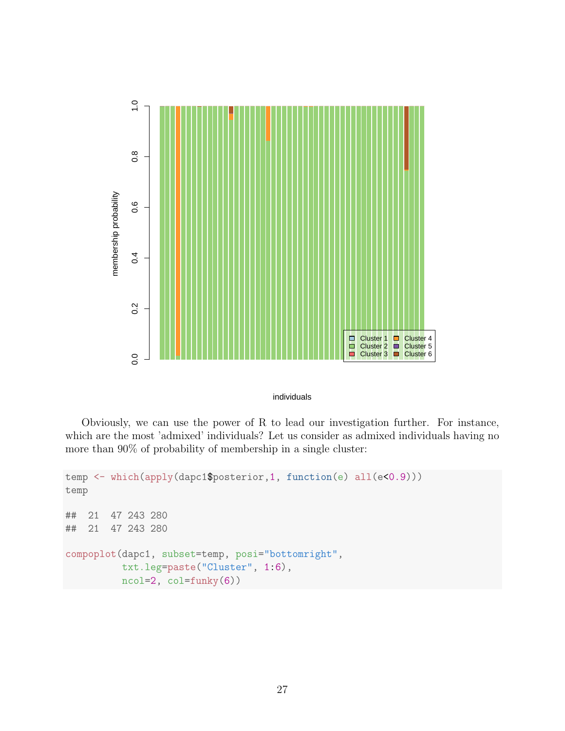

#### individuals

Obviously, we can use the power of R to lead our investigation further. For instance, which are the most 'admixed' individuals? Let us consider as admixed individuals having no more than 90% of probability of membership in a single cluster:

```
temp <- which(apply(dapc1$posterior,1, function(e) all(e<0.9)))
temp
## 21 47 243 280
## 21 47 243 280
compoplot(dapc1, subset=temp, posi="bottomright",
          txt.leg=paste("Cluster", 1:6),
          ncol=2, col=funky(6))
```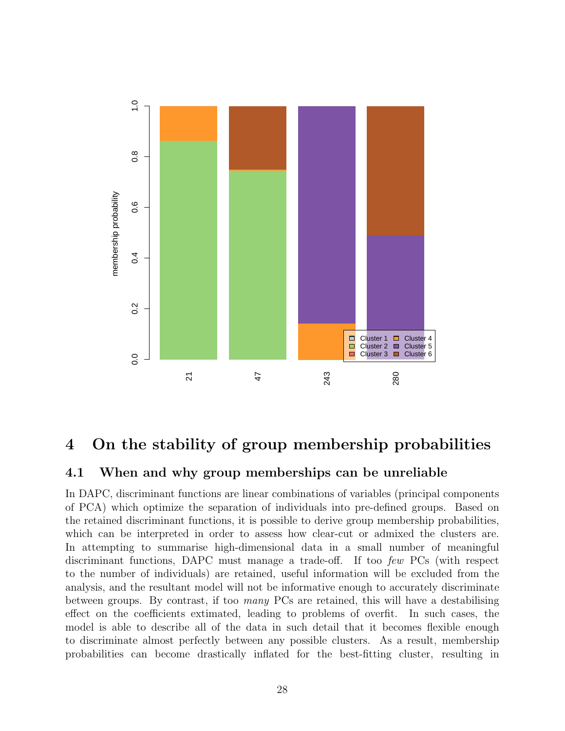

## <span id="page-27-0"></span>4 On the stability of group membership probabilities

### <span id="page-27-1"></span>4.1 When and why group memberships can be unreliable

In DAPC, discriminant functions are linear combinations of variables (principal components of PCA) which optimize the separation of individuals into pre-defined groups. Based on the retained discriminant functions, it is possible to derive group membership probabilities, which can be interpreted in order to assess how clear-cut or admixed the clusters are. In attempting to summarise high-dimensional data in a small number of meaningful discriminant functions, DAPC must manage a trade-off. If too few PCs (with respect to the number of individuals) are retained, useful information will be excluded from the analysis, and the resultant model will not be informative enough to accurately discriminate between groups. By contrast, if too many PCs are retained, this will have a destabilising effect on the coefficients extimated, leading to problems of overfit. In such cases, the model is able to describe all of the data in such detail that it becomes flexible enough to discriminate almost perfectly between any possible clusters. As a result, membership probabilities can become drastically inflated for the best-fitting cluster, resulting in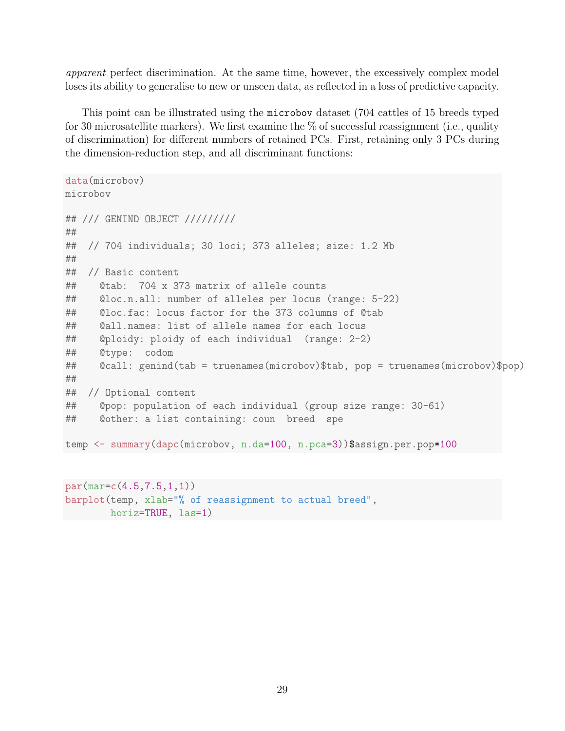apparent perfect discrimination. At the same time, however, the excessively complex model loses its ability to generalise to new or unseen data, as reflected in a loss of predictive capacity.

This point can be illustrated using the microbov dataset (704 cattles of 15 breeds typed for 30 microsatellite markers). We first examine the  $\%$  of successful reassignment (i.e., quality of discrimination) for different numbers of retained PCs. First, retaining only 3 PCs during the dimension-reduction step, and all discriminant functions:

```
data(microbov)
microbov
## /// GENIND OBJECT /////////
##
## // 704 individuals; 30 loci; 373 alleles; size: 1.2 Mb
##
## // Basic content
## @tab: 704 x 373 matrix of allele counts
## @loc.n.all: number of alleles per locus (range: 5-22)
## @loc.fac: locus factor for the 373 columns of @tab
## @all.names: list of allele names for each locus
## @ploidy: ploidy of each individual (range: 2-2)
## @type: codom
## @call: genind(tab = truenames(microbov)$tab, pop = truenames(microbov)$pop)
##
## // Optional content
## @pop: population of each individual (group size range: 30-61)
## @other: a list containing: coun breed spe
temp <- summary(dapc(microbov, n.da=100, n.pca=3))$assign.per.pop*100
```
par(mar=c(4.5,7.5,1,1)) barplot(temp, xlab="% of reassignment to actual breed", horiz=TRUE, las=1)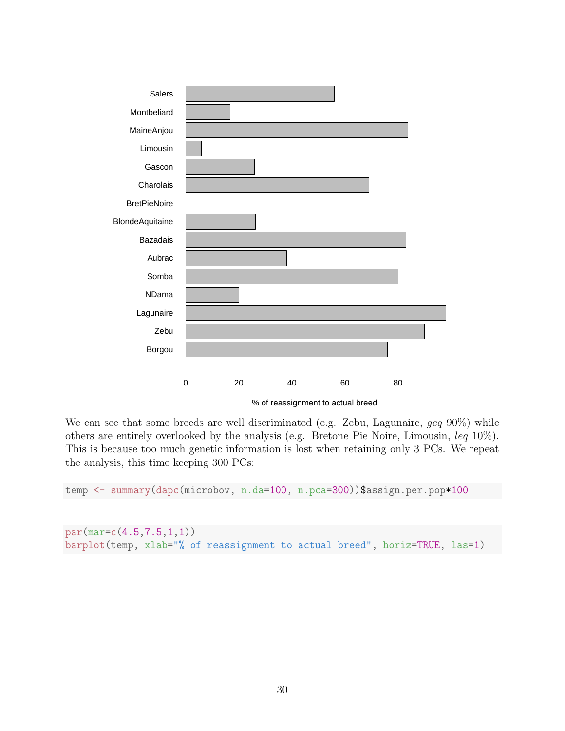

We can see that some breeds are well discriminated (e.g. Zebu, Lagunaire, *qeq* 90%) while others are entirely overlooked by the analysis (e.g. Bretone Pie Noire, Limousin, leq 10%). This is because too much genetic information is lost when retaining only 3 PCs. We repeat the analysis, this time keeping 300 PCs:

temp <- summary(dapc(microbov, n.da=100, n.pca=300))\$assign.per.pop\*100

```
par(mar=c(4.5,7.5,1,1))
barplot(temp, xlab="% of reassignment to actual breed", horiz=TRUE, las=1)
```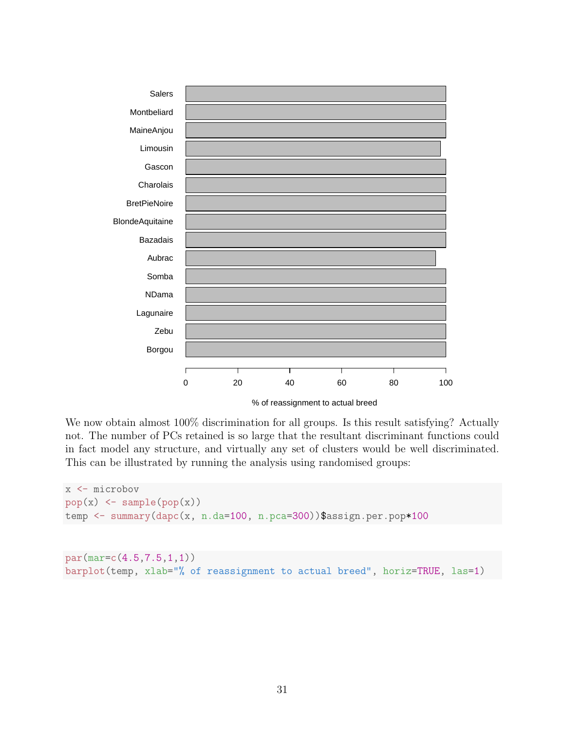

We now obtain almost  $100\%$  discrimination for all groups. Is this result satisfying? Actually not. The number of PCs retained is so large that the resultant discriminant functions could in fact model any structure, and virtually any set of clusters would be well discriminated. This can be illustrated by running the analysis using randomised groups:

```
x <- microbov
pop(x) \leftarrow sample(pop(x))temp <- summary(dapc(x, n.da=100, n.pca=300))$assign.per.pop*100
```

```
par(mar=c(4.5,7.5,1,1))
barplot(temp, xlab="% of reassignment to actual breed", horiz=TRUE, las=1)
```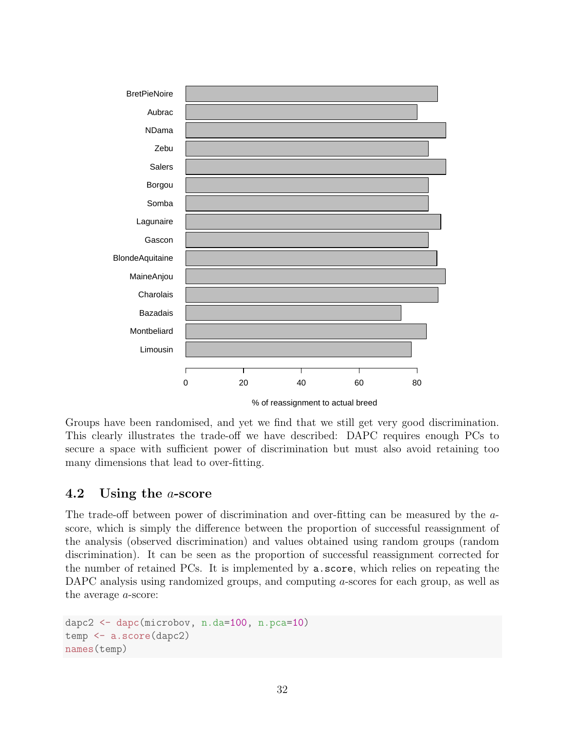

Groups have been randomised, and yet we find that we still get very good discrimination. This clearly illustrates the trade-off we have described: DAPC requires enough PCs to secure a space with sufficient power of discrimination but must also avoid retaining too many dimensions that lead to over-fitting.

## <span id="page-31-0"></span>4.2 Using the a-score

The trade-off between power of discrimination and over-fitting can be measured by the ascore, which is simply the difference between the proportion of successful reassignment of the analysis (observed discrimination) and values obtained using random groups (random discrimination). It can be seen as the proportion of successful reassignment corrected for the number of retained PCs. It is implemented by a.score, which relies on repeating the DAPC analysis using randomized groups, and computing a-scores for each group, as well as the average a-score:

```
dapc2 <- dapc(microbov, n.da=100, n.pca=10)
temp <- a.score(dapc2)
names(temp)
```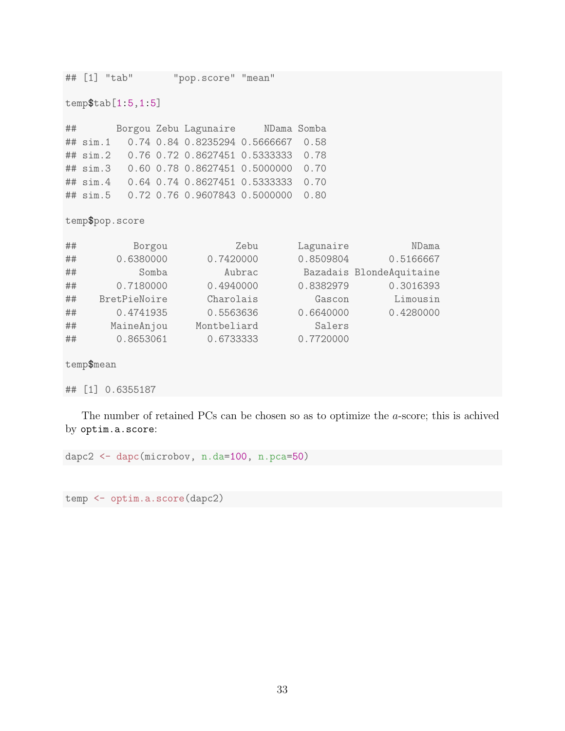```
## [1] "tab" "pop.score" "mean"
temp$tab[1:5,1:5]
## Borgou Zebu Lagunaire NDama Somba
## sim.1 0.74 0.84 0.8235294 0.5666667 0.58
## sim.2 0.76 0.72 0.8627451 0.5333333 0.78
## sim.3 0.60 0.78 0.8627451 0.5000000 0.70
## sim.4 0.64 0.74 0.8627451 0.5333333 0.70
## sim.5 0.72 0.76 0.9607843 0.5000000 0.80
temp$pop.score
## Borgou Zebu Lagunaire NDama
## 0.6380000 0.7420000 0.8509804 0.5166667
## Somba Aubrac Bazadais BlondeAquitaine
## 0.7180000 0.4940000 0.8382979 0.3016393
## BretPieNoire Charolais Gascon Limousin
## 0.4741935 0.5563636 0.6640000 0.4280000
## MaineAnjou Montbeliard Salers
## 0.8653061 0.6733333 0.7720000
temp$mean
## [1] 0.6355187
```
The number of retained PCs can be chosen so as to optimize the a-score; this is achived by optim.a.score:

dapc2 <- dapc(microbov, n.da=100, n.pca=50)

temp <- optim.a.score(dapc2)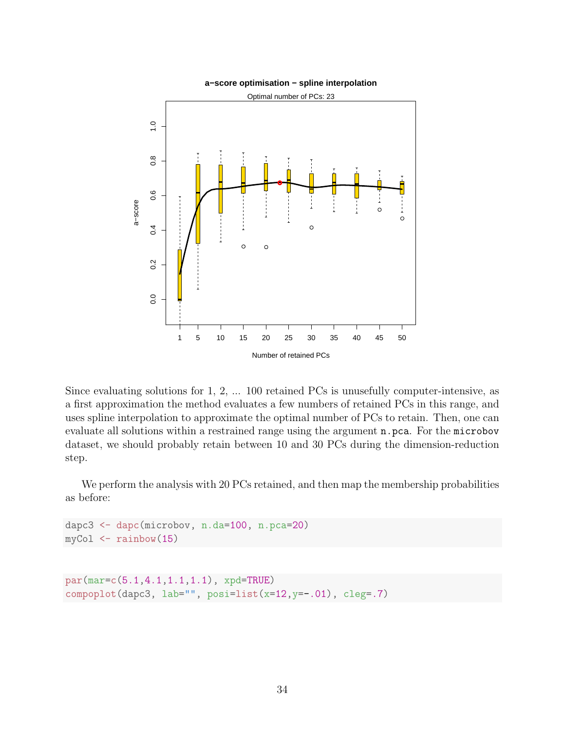

Since evaluating solutions for 1, 2, ... 100 retained PCs is unusefully computer-intensive, as a first approximation the method evaluates a few numbers of retained PCs in this range, and uses spline interpolation to approximate the optimal number of PCs to retain. Then, one can evaluate all solutions within a restrained range using the argument n.pca. For the microbov dataset, we should probably retain between 10 and 30 PCs during the dimension-reduction step.

We perform the analysis with 20 PCs retained, and then map the membership probabilities as before:

```
dapc3 <- dapc(microbov, n.da=100, n.pca=20)
myCol \leftarrow rainbow(15)
```

```
par(mar=c(5.1,4.1,1.1,1.1), xpd=TRUE)
compoplot(dapc3, lab="", posi=list(x=12,y=-.01), cleg=.7)
```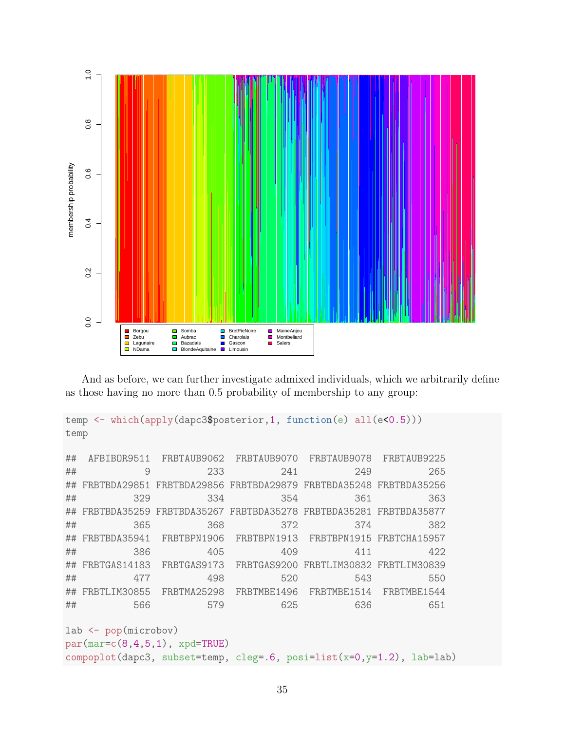

And as before, we can further investigate admixed individuals, which we arbitrarily define as those having no more than 0.5 probability of membership to any group:

```
temp <- which(apply(dapc3$posterior,1, function(e) all(e<0.5)))
temp
## AFBIBOR9511 FRBTAUB9062 FRBTAUB9070 FRBTAUB9078 FRBTAUB9225
## 9 233 241 249 265
## FRBTBDA29851 FRBTBDA29856 FRBTBDA29879 FRBTBDA35248 FRBTBDA35256
## 329 334 354 361 363
## FRBTBDA35259 FRBTBDA35267 FRBTBDA35278 FRBTBDA35281 FRBTBDA35877
## 365 368 372 374 382
## FRBTBDA35941 FRBTBPN1906 FRBTBPN1913 FRBTBPN1915 FRBTCHA15957
## 386 405 409 411 422
## FRBTGAS14183 FRBTGAS9173 FRBTGAS9200 FRBTLIM30832 FRBTLIM30839
## 477 498 520 543 550
## FRBTLIM30855 FRBTMA25298 FRBTMBE1496 FRBTMBE1514 FRBTMBE1544
## 566 579 625 636 651
lab <- pop(microbov)
par(max=c(8,4,5,1), xpd=TRUE)compoplot(dapc3, subset=temp, cleg=.6, posi=list(x=0,y=1.2), lab=lab)
```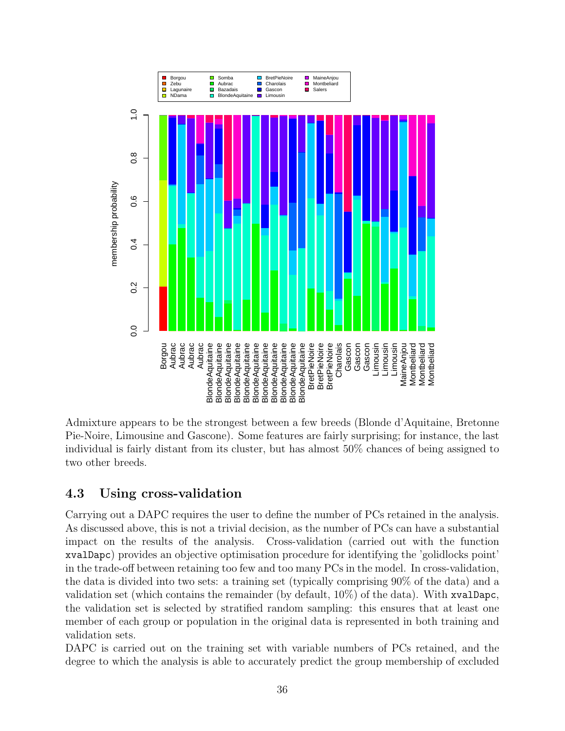

Admixture appears to be the strongest between a few breeds (Blonde d'Aquitaine, Bretonne Pie-Noire, Limousine and Gascone). Some features are fairly surprising; for instance, the last individual is fairly distant from its cluster, but has almost 50% chances of being assigned to two other breeds.

## <span id="page-35-0"></span>4.3 Using cross-validation

Carrying out a DAPC requires the user to define the number of PCs retained in the analysis. As discussed above, this is not a trivial decision, as the number of PCs can have a substantial impact on the results of the analysis. Cross-validation (carried out with the function xvalDapc) provides an objective optimisation procedure for identifying the 'golidlocks point' in the trade-off between retaining too few and too many PCs in the model. In cross-validation, the data is divided into two sets: a training set (typically comprising 90% of the data) and a validation set (which contains the remainder (by default, 10%) of the data). With xvalDapc, the validation set is selected by stratified random sampling: this ensures that at least one member of each group or population in the original data is represented in both training and validation sets.

DAPC is carried out on the training set with variable numbers of PCs retained, and the degree to which the analysis is able to accurately predict the group membership of excluded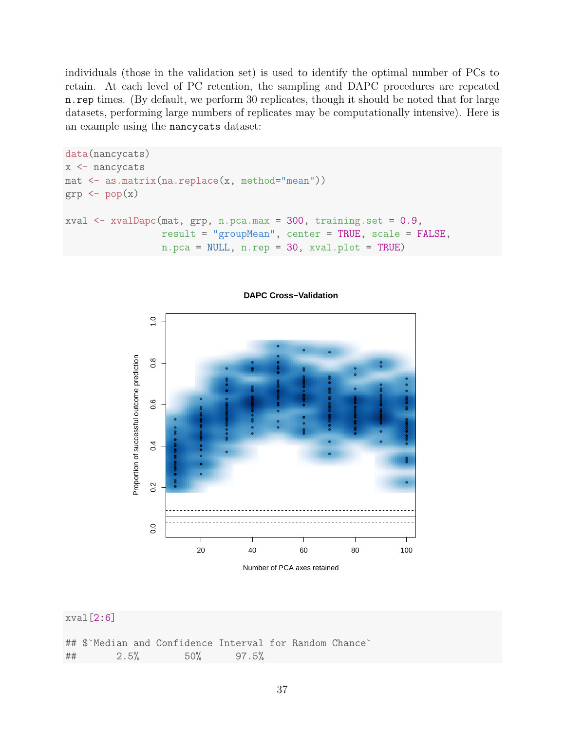individuals (those in the validation set) is used to identify the optimal number of PCs to retain. At each level of PC retention, the sampling and DAPC procedures are repeated n.rep times. (By default, we perform 30 replicates, though it should be noted that for large datasets, performing large numbers of replicates may be computationally intensive). Here is an example using the nancycats dataset:

```
data(nancycats)
x <- nancycats
mat <- as.matrix(na.replace(x, method="mean"))
grp \leftarrow pop(x)xval \le xvalDapc(mat, grp, n.pca.max = 300, training.set = 0.9,
                 result = "groupMean", center = TRUE, scale = FALSE,
                 n.pca = NULL, n.rep = 30, xval.plot = TRUE)
```


**DAPC Cross−Validation**

xval[2:6]

|    |      |  | ## \$`Median and Confidence Interval for Random Chance` |       |  |  |
|----|------|--|---------------------------------------------------------|-------|--|--|
| ## | 2.5% |  | $50\%$                                                  | 97.5% |  |  |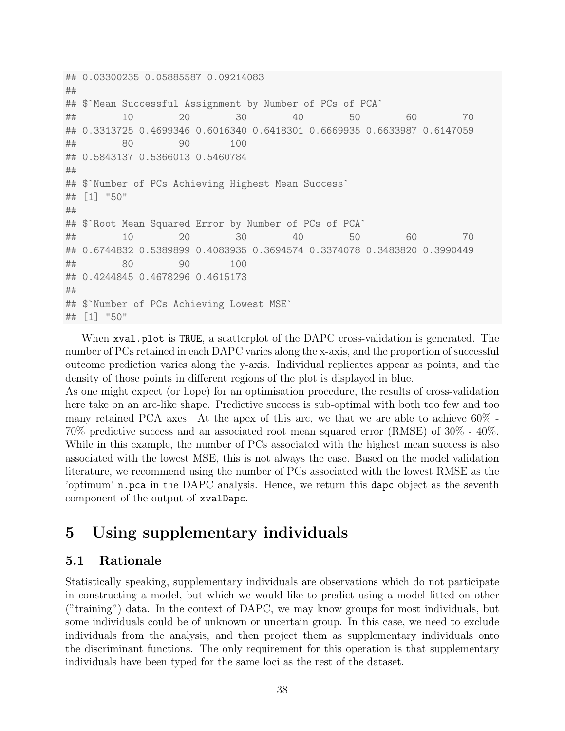```
## 0.03300235 0.05885587 0.09214083
##
## $`Mean Successful Assignment by Number of PCs of PCA`
## 10 20 30 40 50 60 70
## 0.3313725 0.4699346 0.6016340 0.6418301 0.6669935 0.6633987 0.6147059
## 80 90 100
## 0.5843137 0.5366013 0.5460784
##
## $`Number of PCs Achieving Highest Mean Success`
## [1] "50"
##
## $`Root Mean Squared Error by Number of PCs of PCA`
## 10 20 30 40 50 60 70
## 0.6744832 0.5389899 0.4083935 0.3694574 0.3374078 0.3483820 0.3990449
## 80 90 100
## 0.4244845 0.4678296 0.4615173
##
## $`Number of PCs Achieving Lowest MSE`
## [1] "50"
```
When xval.plot is TRUE, a scatterplot of the DAPC cross-validation is generated. The number of PCs retained in each DAPC varies along the x-axis, and the proportion of successful outcome prediction varies along the y-axis. Individual replicates appear as points, and the density of those points in different regions of the plot is displayed in blue.

As one might expect (or hope) for an optimisation procedure, the results of cross-validation here take on an arc-like shape. Predictive success is sub-optimal with both too few and too many retained PCA axes. At the apex of this arc, we that we are able to achieve 60% - 70% predictive success and an associated root mean squared error (RMSE) of 30% - 40%. While in this example, the number of PCs associated with the highest mean success is also associated with the lowest MSE, this is not always the case. Based on the model validation literature, we recommend using the number of PCs associated with the lowest RMSE as the 'optimum' n.pca in the DAPC analysis. Hence, we return this dapc object as the seventh component of the output of xvalDapc.

## <span id="page-37-0"></span>5 Using supplementary individuals

### <span id="page-37-1"></span>5.1 Rationale

Statistically speaking, supplementary individuals are observations which do not participate in constructing a model, but which we would like to predict using a model fitted on other ("training") data. In the context of DAPC, we may know groups for most individuals, but some individuals could be of unknown or uncertain group. In this case, we need to exclude individuals from the analysis, and then project them as supplementary individuals onto the discriminant functions. The only requirement for this operation is that supplementary individuals have been typed for the same loci as the rest of the dataset.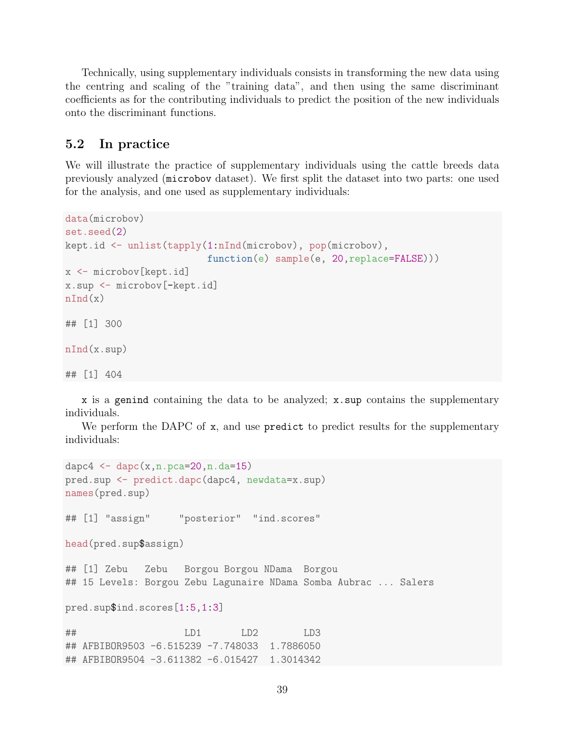Technically, using supplementary individuals consists in transforming the new data using the centring and scaling of the "training data", and then using the same discriminant coefficients as for the contributing individuals to predict the position of the new individuals onto the discriminant functions.

### <span id="page-38-0"></span>5.2 In practice

We will illustrate the practice of supplementary individuals using the cattle breeds data previously analyzed (microbov dataset). We first split the dataset into two parts: one used for the analysis, and one used as supplementary individuals:

```
data(microbov)
set.seed(2)
kept.id <- unlist(tapply(1:nInd(microbov), pop(microbov),
                          function(e) sample(e, 20, replace=FALSE)))
x <- microbov[kept.id]
x.sup <- microbov[-kept.id]
nInd(x)## [1] 300
nInd(x.sup)
## [1] 404
```
x is a genind containing the data to be analyzed; x.sup contains the supplementary individuals.

We perform the DAPC of x, and use predict to predict results for the supplementary individuals:

```
dapc4 \leq \text{dape}(x, n. pca=20, n. da=15)pred.sup <- predict.dapc(dapc4, newdata=x.sup)
names(pred.sup)
## [1] "assign" "posterior" "ind.scores"
head(pred.sup$assign)
## [1] Zebu Zebu Borgou Borgou NDama Borgou
## 15 Levels: Borgou Zebu Lagunaire NDama Somba Aubrac ... Salers
pred.sup$ind.scores[1:5,1:3]
## LD1 LD2 LD3
## AFBIBOR9503 -6.515239 -7.748033 1.7886050
## AFBIBOR9504 -3.611382 -6.015427 1.3014342
```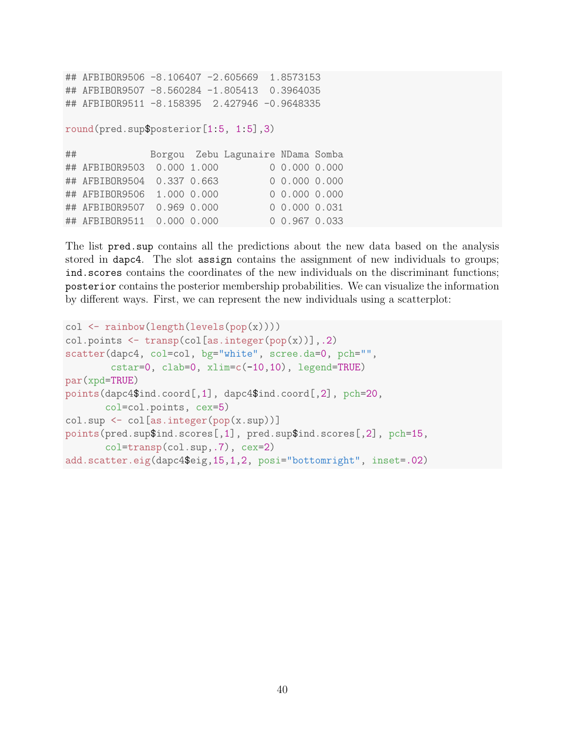```
## AFBIBOR9506 -8.106407 -2.605669 1.8573153
## AFBIBOR9507 -8.560284 -1.805413 0.3964035
## AFBIBOR9511 -8.158395 2.427946 -0.9648335
round(pred.sup$posterior[1:5, 1:5],3)
## Borgou Zebu Lagunaire NDama Somba
## AFBIBOR9503 0.000 1.000 0 0.000 0.000
## AFBIBOR9504 0.337 0.663 0 0.000 0.000
## AFBIBOR9506 1.000 0.000 0 0.000 0.000
## AFBIBOR9507 0.969 0.000 0 0.000 0.031
## AFBIBOR9511 0.000 0.000 0 0.967 0.033
```
The list pred.sup contains all the predictions about the new data based on the analysis stored in dapc4. The slot assign contains the assignment of new individuals to groups; ind.scores contains the coordinates of the new individuals on the discriminant functions; posterior contains the posterior membership probabilities. We can visualize the information by different ways. First, we can represent the new individuals using a scatterplot:

```
col \leftarrow \text{rainbow}(\text{length}(\text{levels}(\text{pop}(x))))col.points \leq transp(col[as.integer(pop(x))],.2)
scatter(dapc4, col=col, bg="white", scree.da=0, pch="",
        cstar=0, clab=0, xlim=c(-10,10), legend=TRUE)
par(xpd=TRUE)
points(dapc4$ind.coord[,1], dapc4$ind.coord[,2], pch=20,
       col=col.points, cex=5)
col.sup <- col[as.integer(pop(x.sup))]
points(pred.sup$ind.scores[,1], pred.sup$ind.scores[,2], pch=15,
       col=transp(col.sup,.7), cex=2)
add.scatter.eig(dapc4$eig,15,1,2, posi="bottomright", inset=.02)
```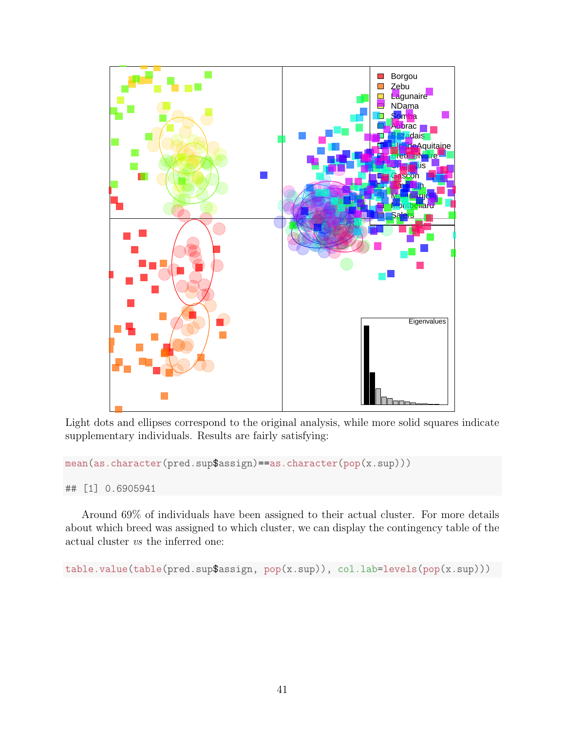

Light dots and ellipses correspond to the original analysis, while more solid squares indicate supplementary individuals. Results are fairly satisfying:

mean(as.character(pred.sup\$assign)==as.character(pop(x.sup)))

## [1] 0.6905941

Around 69% of individuals have been assigned to their actual cluster. For more details about which breed was assigned to which cluster, we can display the contingency table of the actual cluster vs the inferred one:

table.value(table(pred.sup\$assign, pop(x.sup)), col.lab=levels(pop(x.sup)))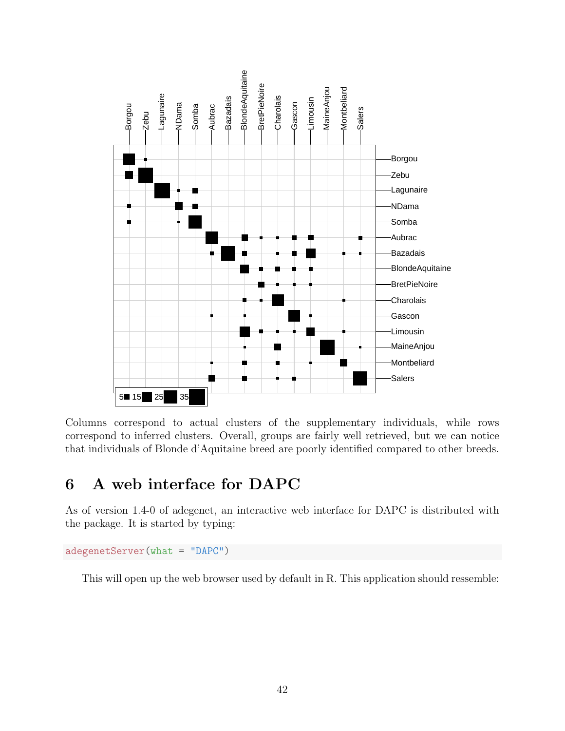

Columns correspond to actual clusters of the supplementary individuals, while rows correspond to inferred clusters. Overall, groups are fairly well retrieved, but we can notice that individuals of Blonde d'Aquitaine breed are poorly identified compared to other breeds.

## <span id="page-41-0"></span>6 A web interface for DAPC

As of version 1.4-0 of adegenet, an interactive web interface for DAPC is distributed with the package. It is started by typing:

```
adegenetServer(what = "DAPC")
```
This will open up the web browser used by default in R. This application should ressemble: